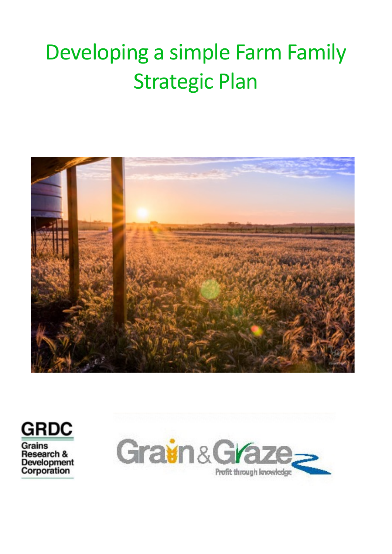# Developing a simple Farm Family **Strategic Plan**





**Grains** Research & Development<br>Corporation

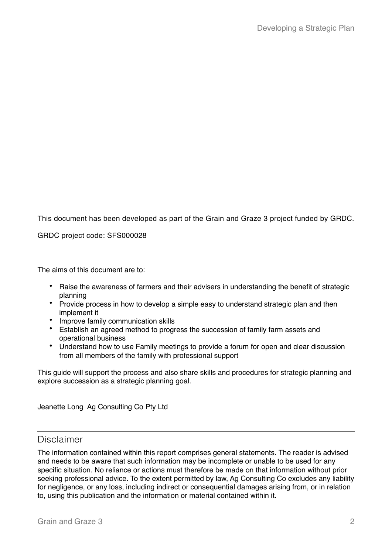This document has been developed as part of the Grain and Graze 3 project funded by GRDC.

GRDC project code: SFS000028

The aims of this document are to:

- Raise the awareness of farmers and their advisers in understanding the benefit of strategic planning
- Provide process in how to develop a simple easy to understand strategic plan and then implement it
- Improve family communication skills
- Establish an agreed method to progress the succession of family farm assets and operational business
- Understand how to use Family meetings to provide a forum for open and clear discussion from all members of the family with professional support

This guide will support the process and also share skills and procedures for strategic planning and explore succession as a strategic planning goal.

Jeanette Long Ag Consulting Co Pty Ltd

# Disclaimer

The information contained within this report comprises general statements. The reader is advised and needs to be aware that such information may be incomplete or unable to be used for any specific situation. No reliance or actions must therefore be made on that information without prior seeking professional advice. To the extent permitted by law, Ag Consulting Co excludes any liability for negligence, or any loss, including indirect or consequential damages arising from, or in relation to, using this publication and the information or material contained within it.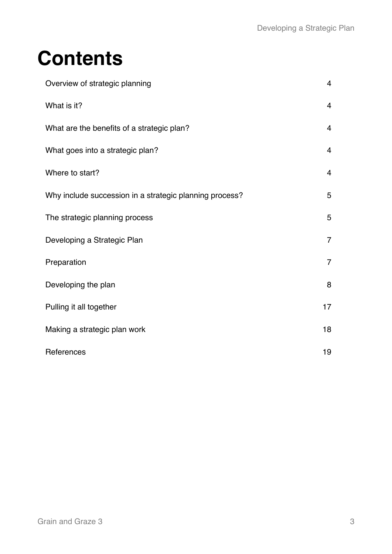# **Contents**

| Overview of strategic planning                          | $\overline{4}$ |
|---------------------------------------------------------|----------------|
| What is it?                                             | $\overline{4}$ |
| What are the benefits of a strategic plan?              | $\overline{4}$ |
| What goes into a strategic plan?                        | $\overline{4}$ |
| Where to start?                                         | $\overline{4}$ |
| Why include succession in a strategic planning process? | 5              |
| The strategic planning process                          | 5              |
| Developing a Strategic Plan                             | $\overline{7}$ |
| Preparation                                             | $\overline{7}$ |
| Developing the plan                                     | 8              |
| Pulling it all together                                 | 17             |
| Making a strategic plan work                            | 18             |
| References                                              | 19             |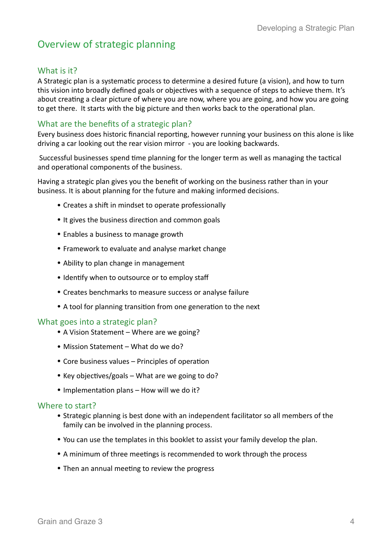# Overview of strategic planning

# What is it?

A Strategic plan is a systematic process to determine a desired future (a vision), and how to turn this vision into broadly defined goals or objectives with a sequence of steps to achieve them. It's about creating a clear picture of where you are now, where you are going, and how you are going to get there. It starts with the big picture and then works back to the operational plan.

# What are the benefits of a strategic plan?

Every business does historic financial reporting, however running your business on this alone is like driving a car looking out the rear vision mirror - you are looking backwards.

Successful businesses spend time planning for the longer term as well as managing the tactical and operational components of the business.

Having a strategic plan gives you the benefit of working on the business rather than in your business. It is about planning for the future and making informed decisions.

- Creates a shift in mindset to operate professionally
- It gives the business direction and common goals
- Enables a business to manage growth
- Framework to evaluate and analyse market change
- Ability to plan change in management
- Identify when to outsource or to employ staff
- Creates benchmarks to measure success or analyse failure
- A tool for planning transition from one generation to the next

# What goes into a strategic plan?

- A Vision Statement Where are we going?
- Mission Statement What do we do?
- $\bullet$  Core business values Principles of operation
- Key objectives/goals What are we going to do?
- $\bullet$  Implementation plans How will we do it?

#### Where to start?

- Strategic planning is best done with an independent facilitator so all members of the family can be involved in the planning process.
- You can use the templates in this booklet to assist your family develop the plan.
- A minimum of three meetings is recommended to work through the process
- Then an annual meeting to review the progress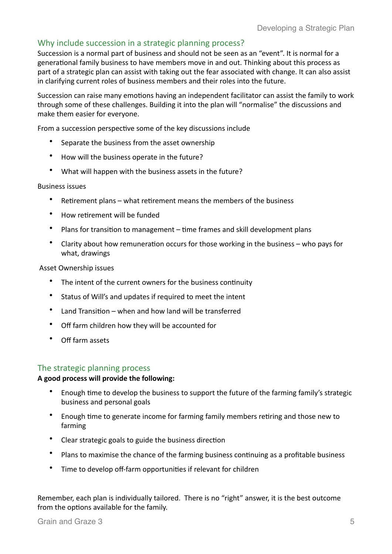# Why include succession in a strategic planning process?

Succession is a normal part of business and should not be seen as an "event". It is normal for a generational family business to have members move in and out. Thinking about this process as part of a strategic plan can assist with taking out the fear associated with change. It can also assist in clarifying current roles of business members and their roles into the future.

Succession can raise many emotions having an independent facilitator can assist the family to work through some of these challenges. Building it into the plan will "normalise" the discussions and make them easier for everyone.

From a succession perspective some of the key discussions include

- Separate the business from the asset ownership
- How will the business operate in the future?
- What will happen with the business assets in the future?

#### **Business issues**

- Retirement plans what retirement means the members of the business
- How retirement will be funded
- Plans for transition to management  $-$  time frames and skill development plans
- Clarity about how remuneration occurs for those working in the business  $-$  who pays for what, drawings

#### Asset Ownership issues

- The intent of the current owners for the business continuity
- Status of Will's and updates if required to meet the intent
- Land Transition when and how land will be transferred
- Off farm children how they will be accounted for
- Off farm assets

# The strategic planning process

#### A good process will provide the following:

- Enough time to develop the business to support the future of the farming family's strategic business and personal goals
- Enough time to generate income for farming family members retiring and those new to farming
- Clear strategic goals to guide the business direction
- Plans to maximise the chance of the farming business continuing as a profitable business
- Time to develop off-farm opportunities if relevant for children

Remember, each plan is individually tailored. There is no "right" answer, it is the best outcome from the options available for the family.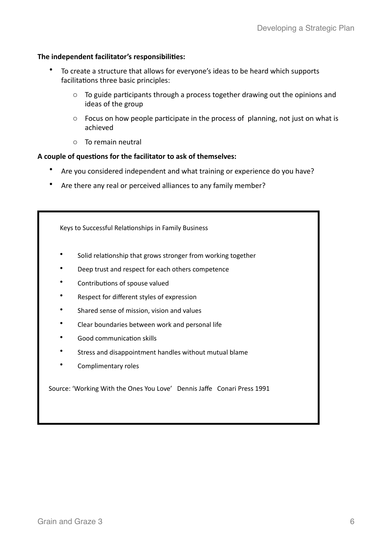## The independent facilitator's responsibilities:

- To create a structure that allows for everyone's ideas to be heard which supports facilitations three basic principles:
	- $\circ$  To guide participants through a process together drawing out the opinions and ideas of the group
	- $\circ$  Focus on how people participate in the process of planning, not just on what is achieved
	- $\circ$  To remain neutral

## A couple of questions for the facilitator to ask of themselves:

- Are you considered independent and what training or experience do you have?
- Are there any real or perceived alliances to any family member?

Keys to Successful Relationships in Family Business

- Solid relationship that grows stronger from working together
- Deep trust and respect for each others competence
- Contributions of spouse valued
- Respect for different styles of expression
- Shared sense of mission, vision and values
- Clear boundaries between work and personal life
- Good communication skills
- Stress and disappointment handles without mutual blame
- Complimentary roles

Source: 'Working With the Ones You Love' Dennis Jaffe Conari Press 1991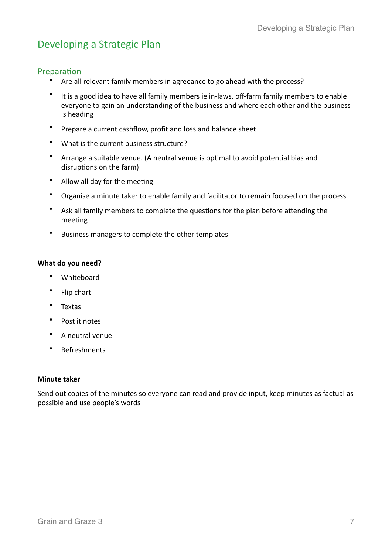# Developing a Strategic Plan

# Preparation

- Are all relevant family members in agreeance to go ahead with the process?
- It is a good idea to have all family members ie in-laws, off-farm family members to enable everyone to gain an understanding of the business and where each other and the business is heading
- Prepare a current cashflow, profit and loss and balance sheet
- What is the current business structure?
- Arrange a suitable venue. (A neutral venue is optimal to avoid potential bias and disruptions on the farm)
- Allow all day for the meeting
- Organise a minute taker to enable family and facilitator to remain focused on the process
- Ask all family members to complete the questions for the plan before attending the meeting
- Business managers to complete the other templates

## **What do you need?**

- Whiteboard
- Flip chart
- Textas
- Post it notes
- A neutral venue
- Refreshments

#### **Minute taker**

Send out copies of the minutes so everyone can read and provide input, keep minutes as factual as possible and use people's words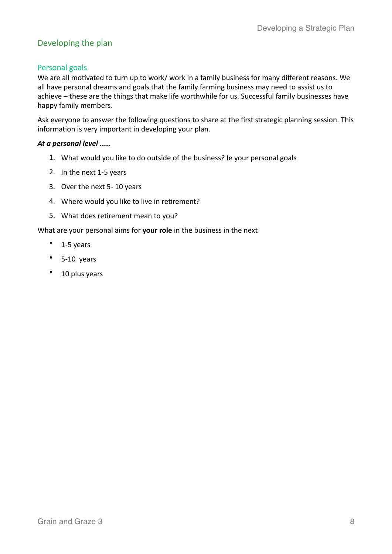# Developing the plan

# Personal goals

We are all motivated to turn up to work/ work in a family business for many different reasons. We all have personal dreams and goals that the family farming business may need to assist us to achieve – these are the things that make life worthwhile for us. Successful family businesses have happy family members.

Ask everyone to answer the following questions to share at the first strategic planning session. This information is very important in developing your plan.

# At a personal level ......

- 1. What would you like to do outside of the business? Ie your personal goals
- 2. In the next 1-5 years
- 3. Over the next 5- 10 years
- 4. Where would you like to live in retirement?
- 5. What does retirement mean to you?

# What are your personal aims for your role in the business in the next

- $\bullet$  1-5 years
- $5-10 \text{ years}$
- 10 plus years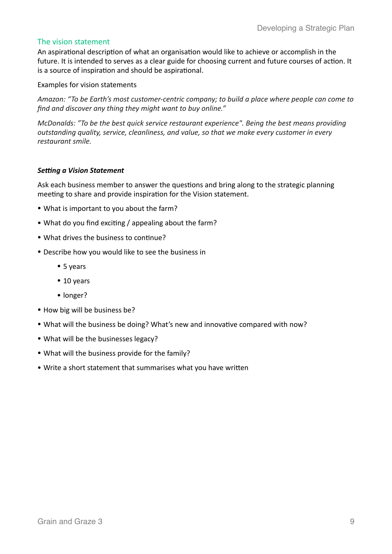## The vision statement

An aspirational description of what an organisation would like to achieve or accomplish in the future. It is intended to serves as a clear guide for choosing current and future courses of action. It is a source of inspiration and should be aspirational.

#### Examples for vision statements

Amazon: "To be Earth's most customer-centric company; to build a place where people can come to *find and discover any thing they might want to buy online."* 

*McDonalds:* "To be the best quick service restaurant experience". Being the best means providing *outstanding quality, service, cleanliness, and value, so that we make every customer in every restaurant smile.*

#### **Setting a Vision Statement**

Ask each business member to answer the questions and bring along to the strategic planning meeting to share and provide inspiration for the Vision statement.

- What is important to you about the farm?
- What do you find exciting / appealing about the farm?
- What drives the business to continue?
- Describe how you would like to see the business in
	- 5 years
	- 10 years
	- longer?
- How big will be business be?
- What will the business be doing? What's new and innovative compared with now?
- What will be the businesses legacy?
- What will the business provide for the family?
- Write a short statement that summarises what you have written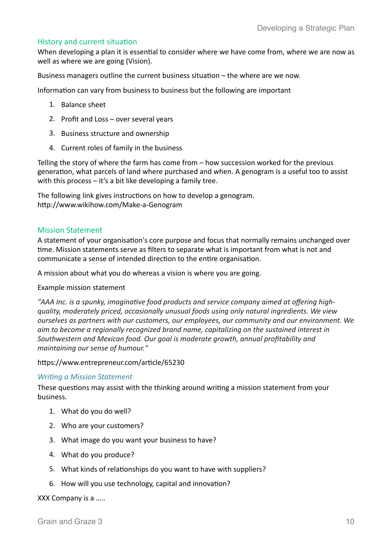## History and current situation

When developing a plan it is essential to consider where we have come from, where we are now as well as where we are going (Vision).

Business managers outline the current business situation  $-$  the where are we now.

Information can vary from business to business but the following are important

- 1. Balance sheet
- 2. Profit and Loss  $-$  over several years
- 3. Business structure and ownership
- 4. Current roles of family in the business

Telling the story of where the farm has come from  $-$  how succession worked for the previous generation, what parcels of land where purchased and when. A genogram is a useful too to assist with this process  $-$  it's a bit like developing a family tree.

The following link gives instructions on how to develop a genogram. http://www.wikihow.com/Make-a-Genogram

#### **Mission Statement**

A statement of your organisation's core purpose and focus that normally remains unchanged over time. Mission statements serve as filters to separate what is important from what is not and communicate a sense of intended direction to the entire organisation.

A mission about what you do whereas a vision is where you are going.

#### Example mission statement

"AAA Inc. is a spunky, imaginative food products and service company aimed at offering highquality, moderately priced, occasionally unusual foods using only natural ingredients. We view *ourselves as partners with our customers, our employees, our community and our environment. We* aim to become a regionally recognized brand name, capitalizing on the sustained interest in Southwestern and Mexican food. Our goal is moderate growth, annual profitability and *maintaining our sense of humour."* 

#### https://www.entrepreneur.com/article/65230

#### **Writing a Mission Statement**

These questions may assist with the thinking around writing a mission statement from your business. 

- 1. What do you do well?
- 2. Who are your customers?
- 3. What image do you want your business to have?
- 4. What do you produce?
- 5. What kinds of relationships do you want to have with suppliers?
- 6. How will you use technology, capital and innovation?

#### XXX Company is a .....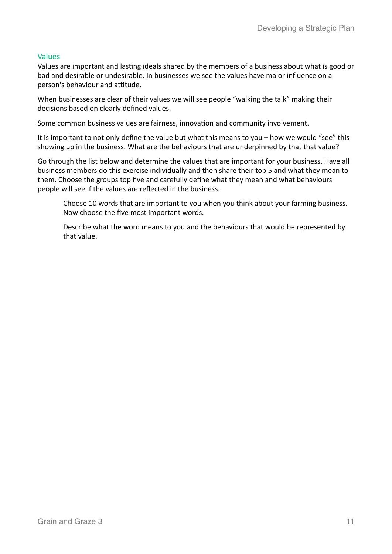# Values

Values are important and lasting ideals shared by the members of a business about what is good or bad and desirable or undesirable. In businesses we see the values have major influence on a person's behaviour and attitude.

When businesses are clear of their values we will see people "walking the talk" making their decisions based on clearly defined values.

Some common business values are fairness, innovation and community involvement.

It is important to not only define the value but what this means to you – how we would "see" this showing up in the business. What are the behaviours that are underpinned by that that value?

Go through the list below and determine the values that are important for your business. Have all business members do this exercise individually and then share their top 5 and what they mean to them. Choose the groups top five and carefully define what they mean and what behaviours people will see if the values are reflected in the business.

Choose 10 words that are important to you when you think about your farming business. Now choose the five most important words.

Describe what the word means to you and the behaviours that would be represented by that value.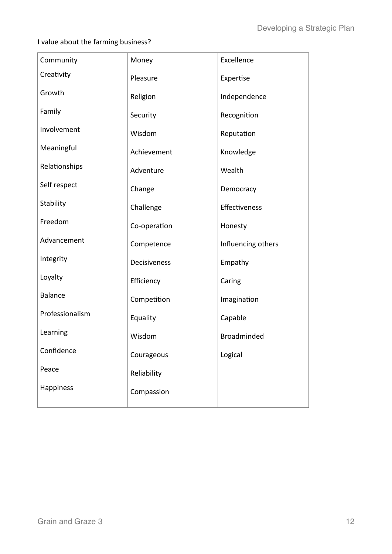I value about the farming business?

| Community       | Money        | Excellence         |
|-----------------|--------------|--------------------|
| Creativity      | Pleasure     | Expertise          |
| Growth          | Religion     | Independence       |
| Family          | Security     | Recognition        |
| Involvement     | Wisdom       | Reputation         |
| Meaningful      | Achievement  | Knowledge          |
| Relationships   | Adventure    | Wealth             |
| Self respect    | Change       | Democracy          |
| Stability       | Challenge    | Effectiveness      |
| Freedom         | Co-operation | Honesty            |
| Advancement     | Competence   | Influencing others |
| Integrity       | Decisiveness | Empathy            |
| Loyalty         | Efficiency   | Caring             |
| <b>Balance</b>  | Competition  | Imagination        |
| Professionalism | Equality     | Capable            |
| Learning        | Wisdom       | <b>Broadminded</b> |
| Confidence      | Courageous   | Logical            |
| Peace           | Reliability  |                    |
| Happiness       | Compassion   |                    |
|                 |              |                    |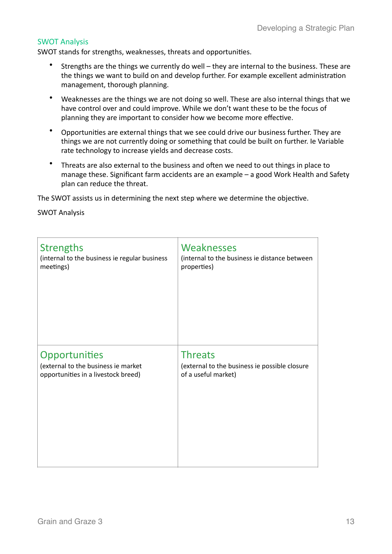## **SWOT Analysis**

SWOT stands for strengths, weaknesses, threats and opportunities.

- Strengths are the things we currently do well they are internal to the business. These are the things we want to build on and develop further. For example excellent administration management, thorough planning.
- Weaknesses are the things we are not doing so well. These are also internal things that we have control over and could improve. While we don't want these to be the focus of planning they are important to consider how we become more effective.
- Opportunities are external things that we see could drive our business further. They are things we are not currently doing or something that could be built on further. Ie Variable rate technology to increase yields and decrease costs.
- Threats are also external to the business and often we need to out things in place to manage these. Significant farm accidents are an example  $-$  a good Work Health and Safety plan can reduce the threat.

The SWOT assists us in determining the next step where we determine the objective.

**SWOT Analysis** 

| <b>Strengths</b>                              | Weaknesses                                    |
|-----------------------------------------------|-----------------------------------------------|
| (internal to the business ie regular business | (internal to the business ie distance between |
| meetings)                                     | properties)                                   |
| Opportunities                                 | <b>Threats</b>                                |
| (external to the business ie market           | (external to the business ie possible closure |
| opportunities in a livestock breed)           | of a useful market)                           |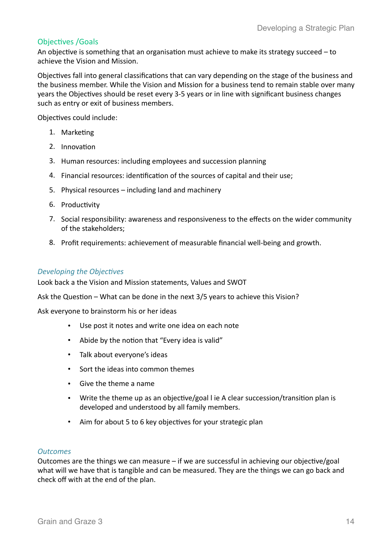# **Objectives** / Goals

An objective is something that an organisation must achieve to make its strategy succeed  $-$  to achieve the Vision and Mission.

Objectives fall into general classifications that can vary depending on the stage of the business and the business member. While the Vision and Mission for a business tend to remain stable over many years the Objectives should be reset every 3-5 years or in line with significant business changes such as entry or exit of business members.

Objectives could include:

- 1. Marketing
- 2. Innovation
- 3. Human resources: including employees and succession planning
- 4. Financial resources: identification of the sources of capital and their use;
- 5. Physical resources including land and machinery
- 6. Productivity
- 7. Social responsibility: awareness and responsiveness to the effects on the wider community of the stakeholders:
- 8. Profit requirements: achievement of measurable financial well-being and growth.

#### **Developing the Objectives**

Look back a the Vision and Mission statements, Values and SWOT

Ask the Question – What can be done in the next  $3/5$  years to achieve this Vision?

Ask everyone to brainstorm his or her ideas

- Use post it notes and write one idea on each note
- Abide by the notion that "Every idea is valid"
- Talk about everyone's ideas
- Sort the ideas into common themes
- Give the theme a name
- Write the theme up as an objective/goal l ie A clear succession/transition plan is developed and understood by all family members.
- Aim for about 5 to 6 key objectives for your strategic plan

#### **Outcomes**

Outcomes are the things we can measure  $-$  if we are successful in achieving our objective/goal what will we have that is tangible and can be measured. They are the things we can go back and check off with at the end of the plan.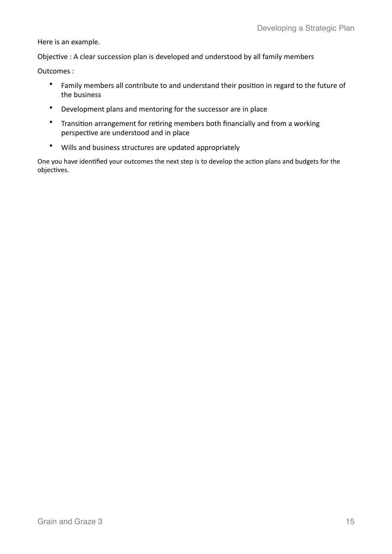Here is an example.

Objective : A clear succession plan is developed and understood by all family members

Outcomes :

- Family members all contribute to and understand their position in regard to the future of the business
- Development plans and mentoring for the successor are in place
- Transition arrangement for retiring members both financially and from a working perspective are understood and in place
- Wills and business structures are updated appropriately

One you have identified your outcomes the next step is to develop the action plans and budgets for the objectives.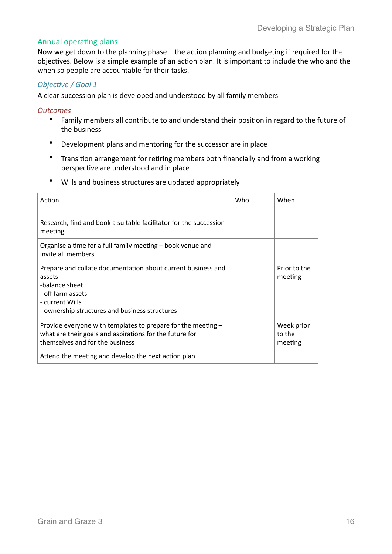# Annual operating plans

Now we get down to the planning phase - the action planning and budgeting if required for the objectives. Below is a simple example of an action plan. It is important to include the who and the when so people are accountable for their tasks.

# **Objective / Goal 1**

A clear succession plan is developed and understood by all family members

## **Outcomes**

- Family members all contribute to and understand their position in regard to the future of the business
- Development plans and mentoring for the successor are in place
- Transition arrangement for retiring members both financially and from a working perspective are understood and in place
- Wills and business structures are updated appropriately

| Action                                                                                                                                                                             | Who | When                            |
|------------------------------------------------------------------------------------------------------------------------------------------------------------------------------------|-----|---------------------------------|
| Research, find and book a suitable facilitator for the succession<br>meeting                                                                                                       |     |                                 |
| Organise a time for a full family meeting – book venue and<br>invite all members                                                                                                   |     |                                 |
| Prepare and collate documentation about current business and<br>assets<br>-balance sheet<br>- off farm assets<br>- current Wills<br>- ownership structures and business structures |     | Prior to the<br>meeting         |
| Provide everyone with templates to prepare for the meeting -<br>what are their goals and aspirations for the future for<br>themselves and for the business                         |     | Week prior<br>to the<br>meeting |
| Attend the meeting and develop the next action plan                                                                                                                                |     |                                 |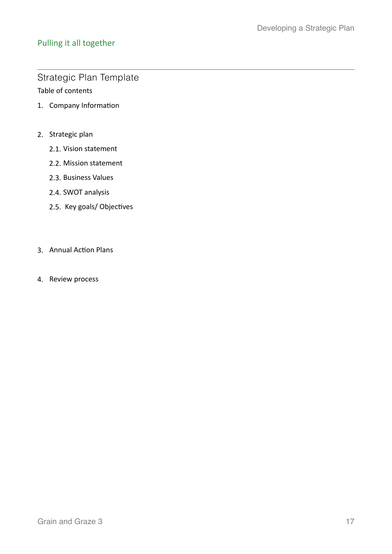# Pulling it all together

# Strategic Plan Template Table of contents

- 1. Company Information
- 2. Strategic plan
	- 2.1. Vision statement
	- 2.2. Mission statement
	- 2.3. Business Values
	- 2.4. SWOT analysis
	- 2.5. Key goals/ Objectives
- 3. Annual Action Plans
- 4. Review process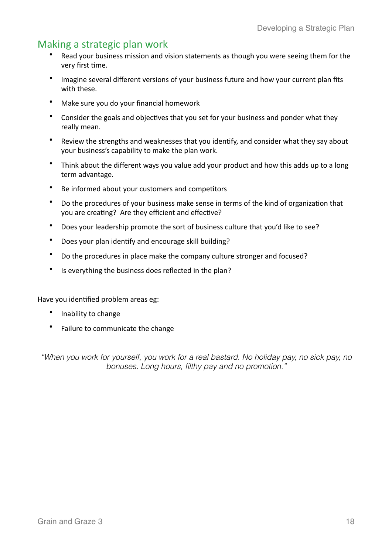# Making a strategic plan work

- Read your business mission and vision statements as though you were seeing them for the very first time.
- Imagine several different versions of your business future and how your current plan fits with these.
- Make sure you do your financial homework
- Consider the goals and objectives that you set for your business and ponder what they really mean.
- Review the strengths and weaknesses that you identify, and consider what they say about your business's capability to make the plan work.
- Think about the different ways you value add your product and how this adds up to a long term advantage.
- Be informed about your customers and competitors
- Do the procedures of your business make sense in terms of the kind of organization that you are creating? Are they efficient and effective?
- Does your leadership promote the sort of business culture that you'd like to see?
- Does your plan identify and encourage skill building?
- Do the procedures in place make the company culture stronger and focused?
- Is everything the business does reflected in the plan?

Have you identified problem areas eg:

- Inability to change
- Failure to communicate the change

*"When you work for yourself, you work for a real bastard. No holiday pay, no sick pay, no bonuses. Long hours, filthy pay and no promotion."*